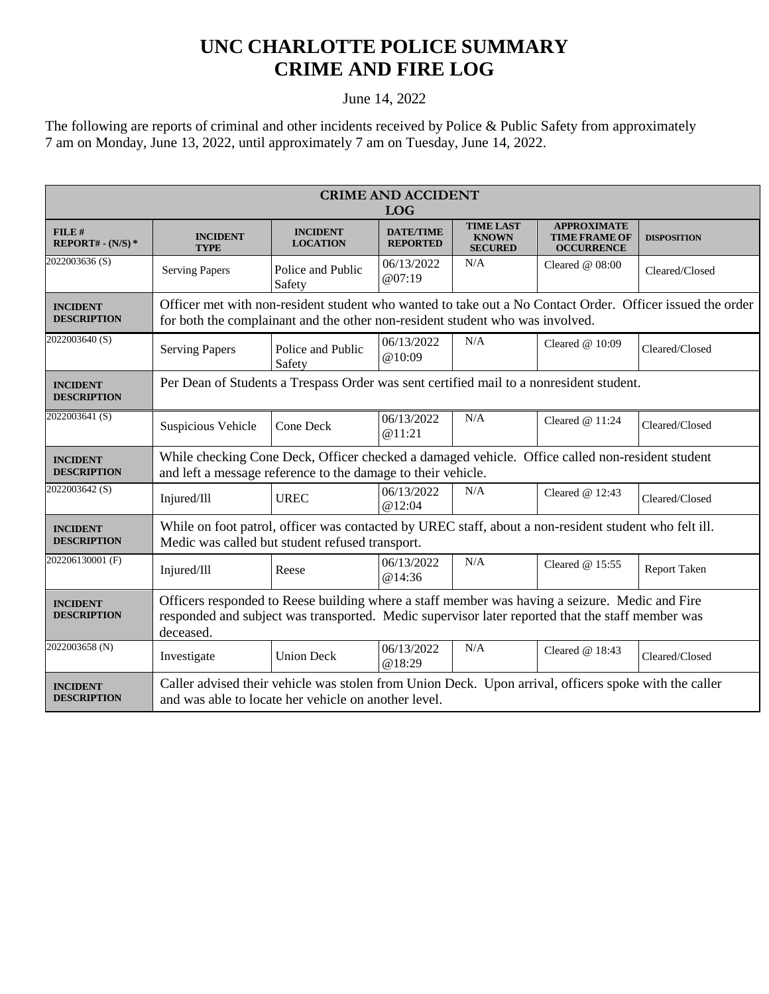## **UNC CHARLOTTE POLICE SUMMARY CRIME AND FIRE LOG**

## June 14, 2022

The following are reports of criminal and other incidents received by Police & Public Safety from approximately 7 am on Monday, June 13, 2022, until approximately 7 am on Tuesday, June 14, 2022.

| <b>CRIME AND ACCIDENT</b><br><b>LOG</b> |                                                                                                                                                                                                                 |                                    |                                     |                                                    |                                                                 |                     |  |
|-----------------------------------------|-----------------------------------------------------------------------------------------------------------------------------------------------------------------------------------------------------------------|------------------------------------|-------------------------------------|----------------------------------------------------|-----------------------------------------------------------------|---------------------|--|
| FILE#<br>REPORT# - $(N/S)*$             | <b>INCIDENT</b><br><b>TYPE</b>                                                                                                                                                                                  | <b>INCIDENT</b><br><b>LOCATION</b> | <b>DATE/TIME</b><br><b>REPORTED</b> | <b>TIME LAST</b><br><b>KNOWN</b><br><b>SECURED</b> | <b>APPROXIMATE</b><br><b>TIME FRAME OF</b><br><b>OCCURRENCE</b> | <b>DISPOSITION</b>  |  |
| 2022003636(S)                           | <b>Serving Papers</b>                                                                                                                                                                                           | Police and Public<br>Safety        | 06/13/2022<br>@07:19                | N/A                                                | Cleared $@08:00$                                                | Cleared/Closed      |  |
| <b>INCIDENT</b><br><b>DESCRIPTION</b>   | Officer met with non-resident student who wanted to take out a No Contact Order. Officer issued the order<br>for both the complainant and the other non-resident student who was involved.                      |                                    |                                     |                                                    |                                                                 |                     |  |
| 2022003640 (S)                          | <b>Serving Papers</b>                                                                                                                                                                                           | Police and Public<br>Safety        | 06/13/2022<br>@10:09                | N/A                                                | Cleared $@10:09$                                                | Cleared/Closed      |  |
| <b>INCIDENT</b><br><b>DESCRIPTION</b>   | Per Dean of Students a Trespass Order was sent certified mail to a nonresident student.                                                                                                                         |                                    |                                     |                                                    |                                                                 |                     |  |
| 2022003641(S)                           | Suspicious Vehicle                                                                                                                                                                                              | Cone Deck                          | 06/13/2022<br>@11:21                | N/A                                                | Cleared $@11:24$                                                | Cleared/Closed      |  |
| <b>INCIDENT</b><br><b>DESCRIPTION</b>   | While checking Cone Deck, Officer checked a damaged vehicle. Office called non-resident student<br>and left a message reference to the damage to their vehicle.                                                 |                                    |                                     |                                                    |                                                                 |                     |  |
| 2022003642 <sub>(S)</sub>               | Injured/Ill                                                                                                                                                                                                     | <b>UREC</b>                        | 06/13/2022<br>@12:04                | N/A                                                | Cleared $@12:43$                                                | Cleared/Closed      |  |
| <b>INCIDENT</b><br><b>DESCRIPTION</b>   | While on foot patrol, officer was contacted by UREC staff, about a non-resident student who felt ill.<br>Medic was called but student refused transport.                                                        |                                    |                                     |                                                    |                                                                 |                     |  |
| 202206130001 (F)                        | Injured/Ill                                                                                                                                                                                                     | Reese                              | 06/13/2022<br>@14:36                | N/A                                                | Cleared @ 15:55                                                 | <b>Report Taken</b> |  |
| <b>INCIDENT</b><br><b>DESCRIPTION</b>   | Officers responded to Reese building where a staff member was having a seizure. Medic and Fire<br>responded and subject was transported. Medic supervisor later reported that the staff member was<br>deceased. |                                    |                                     |                                                    |                                                                 |                     |  |
| 2022003658 (N)                          | Investigate                                                                                                                                                                                                     | <b>Union Deck</b>                  | 06/13/2022<br>@18:29                | N/A                                                | Cleared $@18:43$                                                | Cleared/Closed      |  |
| <b>INCIDENT</b><br><b>DESCRIPTION</b>   | Caller advised their vehicle was stolen from Union Deck. Upon arrival, officers spoke with the caller<br>and was able to locate her vehicle on another level.                                                   |                                    |                                     |                                                    |                                                                 |                     |  |